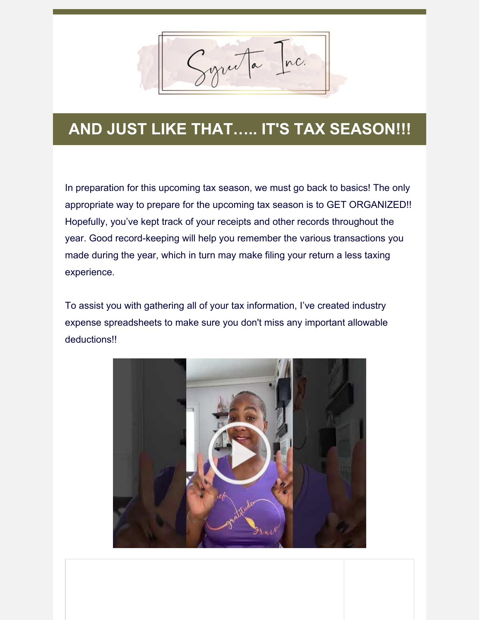Syruta Inc.

## **AND JUST LIKE THAT….. IT'S TAX SEASON!!!**

In preparation for this upcoming tax season, we must go back to basics! The only appropriate way to prepare for the upcoming tax season is to GET ORGANIZED!! Hopefully, you've kept track of your receipts and other records throughout the year. Good record-keeping will help you remember the various transactions you made during the year, which in turn may make filing your return a less taxing experience.

To assist you with gathering all of your tax information, I've created industry expense spreadsheets to make sure you don't miss any important allowable deductions!!

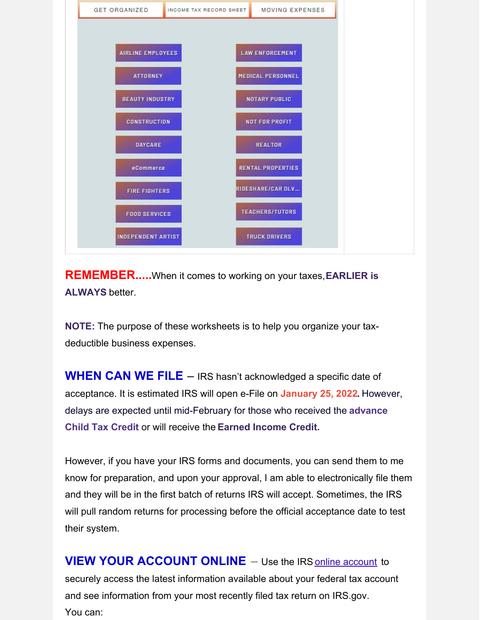

**REMEMBER.....**When it comes to working on your taxes,**EARLIER is ALWAYS** better.

**NOTE:** The purpose of these worksheets is to help you organize your taxdeductible business expenses.

**WHEN CAN WE FILE** – IRS hasn't acknowledged a specific date of acceptance. It is estimated IRS will open e-File on **January 25, 2022.** However, delays are expected until mid-February for those who received the **advance Child Tax Credit** or will receive the **Earned Income Credit.**

However, if you have your IRS forms and documents, you can send them to me know for preparation, and upon your approval, I am able to electronically file them and they will be in the first batch of returns IRS will accept. Sometimes, the IRS will pull random returns for processing before the official acceptance date to test their system.

**VIEW YOUR ACCOUNT ONLINE** – Use the IRS online [account](https://www.irs.gov/payments/your-online-account) to securely access the latest information available about your federal tax account and see information from your most recently filed tax return on IRS.gov. You can: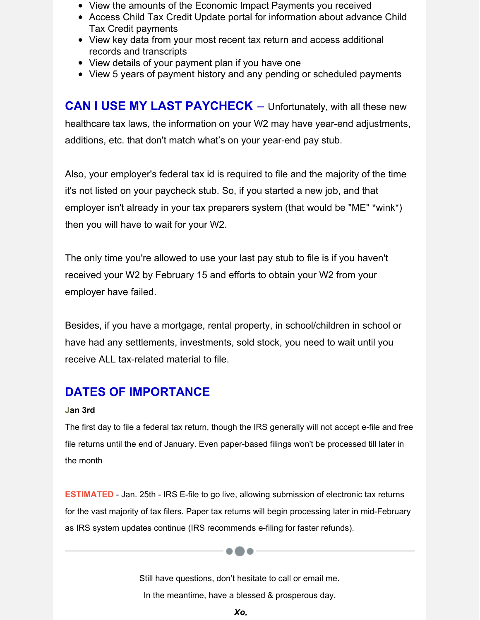- View the amounts of the Economic Impact Payments you received
- Access Child Tax Credit Update portal for information about advance Child Tax Credit payments
- View key data from your most recent tax return and access additional records and transcripts
- View details of your payment plan if you have one
- View 5 years of payment history and any pending or scheduled payments

**CAN I USE MY LAST PAYCHECK** – Unfortunately, with all these new healthcare tax laws, the information on your W2 may have year-end adjustments, additions, etc. that don't match what's on your year-end pay stub.

Also, your employer's federal tax id is required to file and the majority of the time it's not listed on your paycheck stub. So, if you started a new job, and that employer isn't already in your tax preparers system (that would be "ME" \*wink\*) then you will have to wait for your W2.

The only time you're allowed to use your last pay stub to file is if you haven't received your W2 by February 15 and efforts to obtain your W2 from your employer have failed.

Besides, if you have a mortgage, rental property, in school/children in school or have had any settlements, investments, sold stock, you need to wait until you receive ALL tax-related material to file.

## **DATES OF IMPORTANCE**

## **Jan 3rd**

The first day to file a federal tax return, though the IRS generally will not accept e-file and free file returns until the end of January. Even paper-based filings won't be processed till later in the month

**ESTIMATED** - Jan. 25th - IRS E-file to go live, allowing submission of electronic tax returns for the vast majority of tax filers. Paper tax returns will begin processing later in mid-February as IRS system updates continue (IRS recommends e-filing for faster refunds).

> Still have questions, don't hesitate to call or email me. In the meantime, have a blessed & prosperous day.